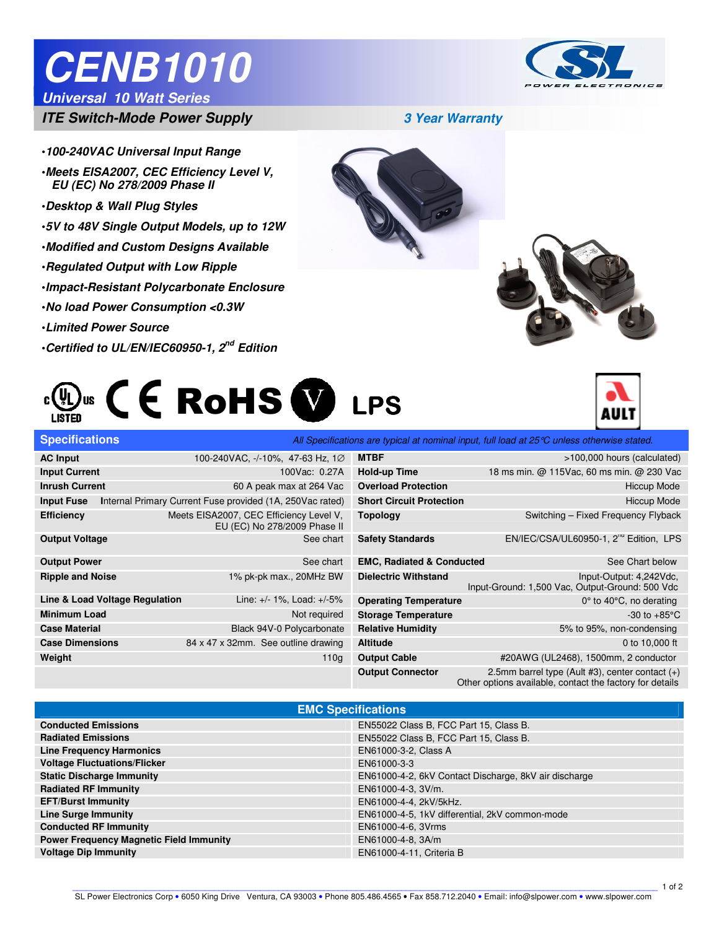# **CENB1010**

### **Universal 10 Watt Series**



**ITE Switch-Mode Power Supply 3 Year Warranty**

- •**100-240VAC Universal Input Range**
- •**Meets EISA2007, CEC Efficiency Level V, EU (EC) No 278/2009 Phase II**
- •**Desktop & Wall Plug Styles**

Ī

- •**5V to 48V Single Output Models, up to 12W**
- •**Modified and Custom Designs Available**
- •**Regulated Output with Low Ripple**
- •**Impact-Resistant Polycarbonate Enclosure**
- •**No load Power Consumption <0.3W**
- •**Limited Power Source**
- •**Certified to UL/EN/IEC60950-1, 2nd Edition**









| <b>Specifications</b>   |                                                                         | All Specifications are typical at nominal input, full load at 25 °C unless otherwise stated. |                                                      |                                                                            |  |  |
|-------------------------|-------------------------------------------------------------------------|----------------------------------------------------------------------------------------------|------------------------------------------------------|----------------------------------------------------------------------------|--|--|
| <b>AC Input</b>         | 100-240VAC, -/-10%, 47-63 Hz, 1Ø                                        | <b>MTBF</b>                                                                                  |                                                      | >100,000 hours (calculated)                                                |  |  |
| <b>Input Current</b>    | 100Vac: 0.27A                                                           | Hold-up Time                                                                                 |                                                      | 18 ms min. @ 115Vac, 60 ms min. @ 230 Vac                                  |  |  |
| <b>Inrush Current</b>   | 60 A peak max at 264 Vac                                                |                                                                                              | <b>Overload Protection</b>                           | <b>Hiccup Mode</b>                                                         |  |  |
| <b>Input Fuse</b>       | Internal Primary Current Fuse provided (1A, 250Vac rated)               | <b>Short Circuit Protection</b>                                                              |                                                      | <b>Hiccup Mode</b>                                                         |  |  |
| <b>Efficiency</b>       | Meets EISA2007, CEC Efficiency Level V,<br>EU (EC) No 278/2009 Phase II |                                                                                              | <b>Topology</b>                                      | Switching - Fixed Frequency Flyback                                        |  |  |
| <b>Output Voltage</b>   | See chart                                                               |                                                                                              | <b>Safety Standards</b>                              | EN/IEC/CSA/UL60950-1, 2 <sup>nd</sup> Edition, LPS                         |  |  |
| <b>Output Power</b>     | See chart                                                               |                                                                                              | <b>EMC, Radiated &amp; Conducted</b>                 | See Chart below                                                            |  |  |
| <b>Ripple and Noise</b> | 1% pk-pk max., 20MHz BW                                                 |                                                                                              | <b>Dielectric Withstand</b>                          | Input-Output: 4,242Vdc,<br>Input-Ground: 1,500 Vac, Output-Ground: 500 Vdc |  |  |
|                         | Line & Load Voltage Regulation<br>Line: +/- 1%, Load: +/-5%             |                                                                                              | <b>Operating Temperature</b>                         | $0^\circ$ to 40 $^\circ$ C, no derating                                    |  |  |
| <b>Minimum Load</b>     | Not required                                                            |                                                                                              | -30 to $+85^{\circ}$ C<br><b>Storage Temperature</b> |                                                                            |  |  |
| <b>Case Material</b>    | Black 94V-0 Polycarbonate                                               |                                                                                              | <b>Relative Humidity</b>                             | 5% to 95%, non-condensing                                                  |  |  |
| <b>Case Dimensions</b>  | 84 x 47 x 32mm. See outline drawing                                     | <b>Altitude</b>                                                                              |                                                      | 0 to 10,000 ft                                                             |  |  |
| Weight                  | 110g                                                                    |                                                                                              | <b>Output Cable</b>                                  | #20AWG (UL2468), 1500mm, 2 conductor                                       |  |  |
|                         |                                                                         |                                                                                              | <b>Output Connector</b>                              | 2.5mm barrel type (Ault #3), center contact $(+)$                          |  |  |

Other options available, contact the factory for details

| <b>EMC Specifications</b>                      |                                                       |  |  |  |  |  |
|------------------------------------------------|-------------------------------------------------------|--|--|--|--|--|
| <b>Conducted Emissions</b>                     | EN55022 Class B, FCC Part 15, Class B.                |  |  |  |  |  |
| <b>Radiated Emissions</b>                      | EN55022 Class B, FCC Part 15, Class B.                |  |  |  |  |  |
| <b>Line Frequency Harmonics</b>                | EN61000-3-2, Class A                                  |  |  |  |  |  |
| <b>Voltage Fluctuations/Flicker</b>            | EN61000-3-3                                           |  |  |  |  |  |
| <b>Static Discharge Immunity</b>               | EN61000-4-2, 6kV Contact Discharge, 8kV air discharge |  |  |  |  |  |
| <b>Radiated RF Immunity</b>                    | EN61000-4-3, 3V/m.                                    |  |  |  |  |  |
| <b>EFT/Burst Immunity</b>                      | EN61000-4-4, 2kV/5kHz.                                |  |  |  |  |  |
| <b>Line Surge Immunity</b>                     | EN61000-4-5, 1kV differential, 2kV common-mode        |  |  |  |  |  |
| <b>Conducted RF Immunity</b>                   | EN61000-4-6, 3Vrms                                    |  |  |  |  |  |
| <b>Power Frequency Magnetic Field Immunity</b> | EN61000-4-8, 3A/m                                     |  |  |  |  |  |
| <b>Voltage Dip Immunity</b>                    | EN61000-4-11, Criteria B                              |  |  |  |  |  |